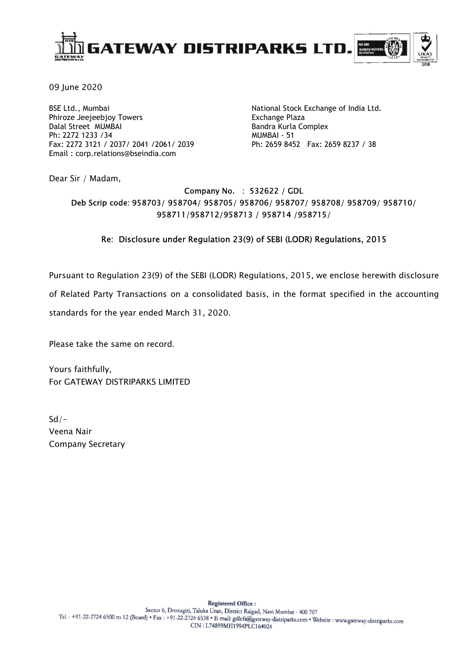

09 June 2020

BSE Ltd., Mumbai Phiroze Jeejeebjoy Towers Dalal Street MUMBAI Ph: 2272 1233 /34 Fax: 2272 3121 / 2037/ 2041 /2061/ 2039 Email : corp.relations@bseindia.com

National Stock Exchange of India Ltd. Exchange Plaza Bandra Kurla Complex MUMBAI - 51 Ph: 2659 8452 Fax: 2659 8237 / 38

Dear Sir / Madam,

# Company No. : 532622 / GDL Deb Scrip code: 958703/ 958704/ 958705/ 958706/ 958707/ 958708/ 958709/ 958710/ 958711/958712/958713 / 958714 /958715/

# Re: Disclosure under Regulation 23(9) of SEBI (LODR) Regulations, 2015

Pursuant to Regulation 23(9) of the SEBI (LODR) Regulations, 2015, we enclose herewith disclosure

of Related Party Transactions on a consolidated basis, in the format specified in the accounting

standards for the year ended March 31, 2020.

Please take the same on record.

Yours faithfully, For GATEWAY DISTRIPARKS LIMITED

 $Sd/-$ Veena Nair Company Secretary